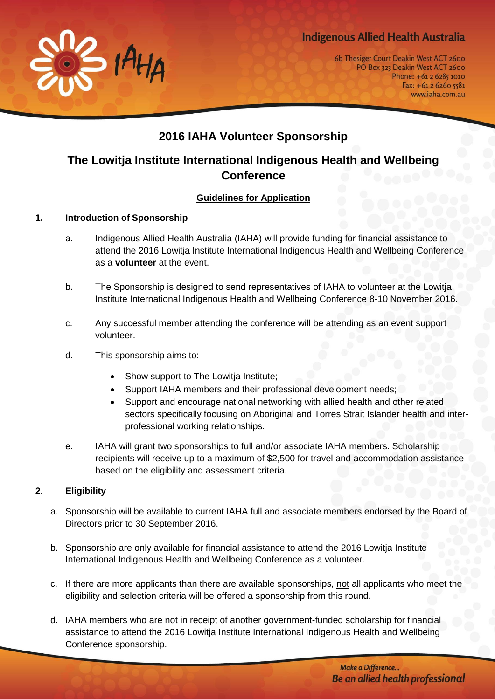## **Indigenous Allied Health Australia**



6b Thesiger Court Deakin West ACT 2600 PO Box 323 Deakin West ACT 2600 Phone: +61 2 6285 1010 Fax: +61 2 6260 5581 www.iaha.com.au

# **2016 IAHA Volunteer Sponsorship**

## **The Lowitja Institute International Indigenous Health and Wellbeing Conference**

### **Guidelines for Application**

#### **1. Introduction of Sponsorship**

- a. Indigenous Allied Health Australia (IAHA) will provide funding for financial assistance to attend the 2016 Lowitja Institute International Indigenous Health and Wellbeing Conference as a **volunteer** at the event.
- b. The Sponsorship is designed to send representatives of IAHA to volunteer at the Lowitja Institute International Indigenous Health and Wellbeing Conference 8-10 November 2016.
- c. Any successful member attending the conference will be attending as an event support volunteer.
- d. This sponsorship aims to:
	- Show support to The Lowitja Institute;
	- Support IAHA members and their professional development needs;
	- Support and encourage national networking with allied health and other related sectors specifically focusing on Aboriginal and Torres Strait Islander health and interprofessional working relationships.
- e. IAHA will grant two sponsorships to full and/or associate IAHA members. Scholarship recipients will receive up to a maximum of \$2,500 for travel and accommodation assistance based on the eligibility and assessment criteria.

#### **2. Eligibility**

- a. Sponsorship will be available to current IAHA full and associate members endorsed by the Board of Directors prior to 30 September 2016.
- b. Sponsorship are only available for financial assistance to attend the 2016 Lowitja Institute International Indigenous Health and Wellbeing Conference as a volunteer.
- c. If there are more applicants than there are available sponsorships, not all applicants who meet the eligibility and selection criteria will be offered a sponsorship from this round.
- d. IAHA members who are not in receipt of another government-funded scholarship for financial assistance to attend the 2016 Lowitja Institute International Indigenous Health and Wellbeing Conference sponsorship.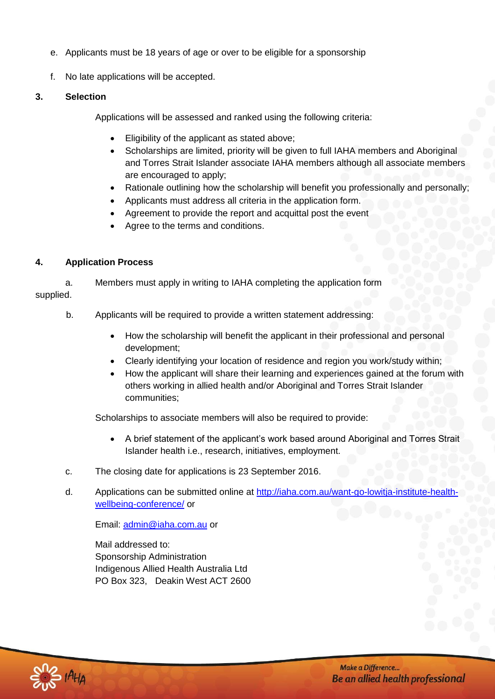- e. Applicants must be 18 years of age or over to be eligible for a sponsorship
- f. No late applications will be accepted.

#### **3. Selection**

Applications will be assessed and ranked using the following criteria:

- Eligibility of the applicant as stated above;
- Scholarships are limited, priority will be given to full IAHA members and Aboriginal and Torres Strait Islander associate IAHA members although all associate members are encouraged to apply;
- Rationale outlining how the scholarship will benefit you professionally and personally;
- Applicants must address all criteria in the application form.
- Agreement to provide the report and acquittal post the event
- Agree to the terms and conditions.

### **4. Application Process**

a. Members must apply in writing to IAHA completing the application form supplied.

- b. Applicants will be required to provide a written statement addressing:
	- How the scholarship will benefit the applicant in their professional and personal development;
	- Clearly identifying your location of residence and region you work/study within;
	- How the applicant will share their learning and experiences gained at the forum with others working in allied health and/or Aboriginal and Torres Strait Islander communities;

Scholarships to associate members will also be required to provide:

- A brief statement of the applicant's work based around Aboriginal and Torres Strait Islander health i.e., research, initiatives, employment.
- c. The closing date for applications is 23 September 2016.
- d. Applications can be submitted online at [http://iaha.com.au/want-go-lowitja-institute-health](http://iaha.com.au/want-go-lowitja-institute-health-wellbeing-conference/)[wellbeing-conference/](http://iaha.com.au/want-go-lowitja-institute-health-wellbeing-conference/) or

Email: [admin@iaha.com.au](mailto:admin@iaha.com.au) or

Mail addressed to: Sponsorship Administration Indigenous Allied Health Australia Ltd PO Box 323, Deakin West ACT 2600